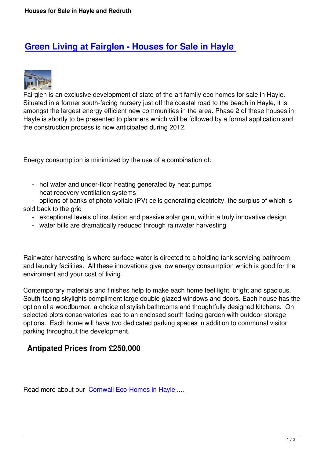## **Green Living at Fairglen - Houses for Sale in Hayle**



Fairglen is an exclusive development of state-of-the-art family eco homes for sale in Hayle. Situated in a former south-facing nursery just off the coastal road to the beach in Hayle, it is amongst the largest energy efficient new communities in the area. Phase 2 of these houses in Hayle is shortly to be presented to planners which will be followed by a formal application and the construction process is now anticipated during 2012.

Energy consumption is minimized by the use of a combination of:

- hot water and under-floor heating generated by heat pumps
- heat recovery ventilation systems

 - options of banks of photo voltaic (PV) cells generating electricity, the surplus of which is sold back to the grid

- exceptional levels of insulation and passive solar gain, within a truly innovative design
- water bills are dramatically reduced through rainwater harvesting

Rainwater harvesting is where surface water is directed to a holding tank servicing bathroom and laundry facilities. All these innovations give low energy consumption which is good for the enviroment and your cost of living.

Contemporary materials and finishes help to make each home feel light, bright and spacious. South-facing skylights compliment large double-glazed windows and doors. Each house has the option of a woodburner, a choice of stylish bathrooms and thoughtfully designed kitchens. On selected plots conservatories lead to an enclosed south facing garden with outdoor storage options. Each home will have two dedicated parking spaces in addition to communal visitor parking throughout the development.

## **Antipated Prices from £250,000**

Read more about our Cornwall Eco-Homes in Hayle ....